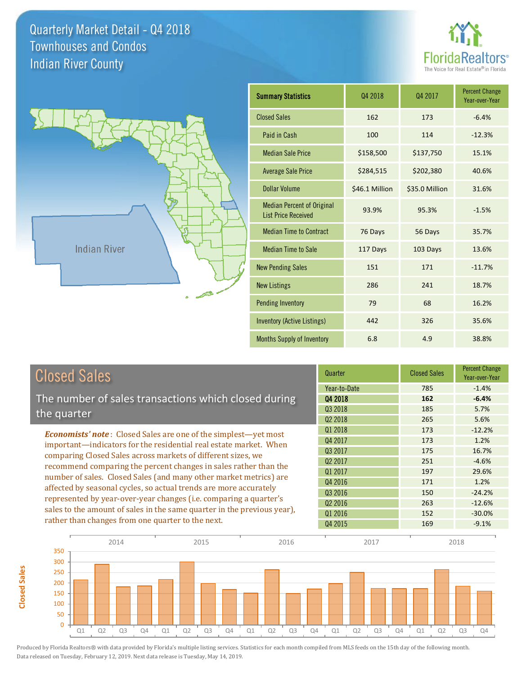**Closed Sales**

**Closed Sales** 





| <b>Summary Statistics</b>                                       | 04 2018        | 04 2017        | <b>Percent Change</b><br>Year-over-Year |
|-----------------------------------------------------------------|----------------|----------------|-----------------------------------------|
| <b>Closed Sales</b>                                             | 162            | 173            | $-6.4%$                                 |
| Paid in Cash                                                    | 100            | 114            | $-12.3%$                                |
| <b>Median Sale Price</b>                                        | \$158,500      | \$137,750      | 15.1%                                   |
| <b>Average Sale Price</b>                                       | \$284,515      | \$202,380      | 40.6%                                   |
| Dollar Volume                                                   | \$46.1 Million | \$35.0 Million | 31.6%                                   |
| <b>Median Percent of Original</b><br><b>List Price Received</b> | 93.9%          | 95.3%          | $-1.5%$                                 |
| <b>Median Time to Contract</b>                                  | 76 Days        | 56 Days        | 35.7%                                   |
| <b>Median Time to Sale</b>                                      | 117 Days       | 103 Days       | 13.6%                                   |
| <b>New Pending Sales</b>                                        | 151            | 171            | $-11.7%$                                |
| <b>New Listings</b>                                             | 286            | 241            | 18.7%                                   |
| <b>Pending Inventory</b>                                        | 79             | 68             | 16.2%                                   |
| <b>Inventory (Active Listings)</b>                              | 442            | 326            | 35.6%                                   |
| <b>Months Supply of Inventory</b>                               | 6.8            | 4.9            | 38.8%                                   |

| <b>Closed Sales</b>                                                                                                                                                                                   | Quarter             | <b>Closed Sales</b> | <b>Percent Change</b><br>Year-over-Year |
|-------------------------------------------------------------------------------------------------------------------------------------------------------------------------------------------------------|---------------------|---------------------|-----------------------------------------|
|                                                                                                                                                                                                       | Year-to-Date        | 785                 | $-1.4%$                                 |
| The number of sales transactions which closed during                                                                                                                                                  | 04 2018             | 162                 | $-6.4%$                                 |
| the quarter                                                                                                                                                                                           | Q3 2018             | 185                 | 5.7%                                    |
|                                                                                                                                                                                                       | Q <sub>2</sub> 2018 | 265                 | 5.6%                                    |
| <b>Economists' note:</b> Closed Sales are one of the simplest—yet most                                                                                                                                | Q1 2018             | 173                 | $-12.2%$                                |
| important—indicators for the residential real estate market. When                                                                                                                                     | Q4 2017             | 173                 | 1.2%                                    |
| comparing Closed Sales across markets of different sizes, we<br>recommend comparing the percent changes in sales rather than the<br>number of sales. Closed Sales (and many other market metrics) are | Q3 2017             | 175                 | 16.7%                                   |
|                                                                                                                                                                                                       | Q <sub>2</sub> 2017 | 251                 | $-4.6%$                                 |
|                                                                                                                                                                                                       | 01 2017             | 197                 | 29.6%                                   |
|                                                                                                                                                                                                       | Q4 2016             | 171                 | 1.2%                                    |
| affected by seasonal cycles, so actual trends are more accurately                                                                                                                                     | Q3 2016             | 150                 | $-24.2%$                                |
| represented by year-over-year changes (i.e. comparing a quarter's                                                                                                                                     | Q <sub>2</sub> 2016 | 263                 | $-12.6%$                                |
| sales to the amount of sales in the same quarter in the previous year),                                                                                                                               | Q1 2016             | 152                 | $-30.0%$                                |
| rather than changes from one quarter to the next.                                                                                                                                                     | Q4 2015             | 169                 | $-9.1%$                                 |

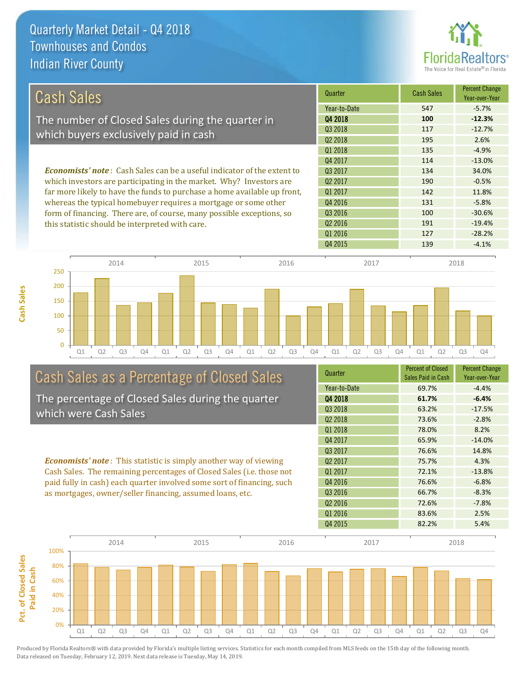

| <b>Cash Sales</b>                                                              | Quarter             | <b>Cash Sales</b> | <b>Percent Change</b><br>Year-over-Year |
|--------------------------------------------------------------------------------|---------------------|-------------------|-----------------------------------------|
|                                                                                | Year-to-Date        | 547               | $-5.7%$                                 |
| The number of Closed Sales during the quarter in                               | 04 2018             | 100               | $-12.3%$                                |
| which buyers exclusively paid in cash                                          | 03 2018             | 117               | $-12.7%$                                |
|                                                                                | Q <sub>2</sub> 2018 | 195               | 2.6%                                    |
|                                                                                | 01 2018             | 135               | $-4.9%$                                 |
|                                                                                | 04 2017             | 114               | $-13.0\%$                               |
| <b>Economists' note:</b> Cash Sales can be a useful indicator of the extent to | 03 2017             | 134               | 34.0%                                   |
| which investors are participating in the market. Why? Investors are            | 02 2017             | 190               | $-0.5%$                                 |
| far more likely to have the funds to purchase a home available up front,       | 01 2017             | 142               | 11.8%                                   |
| whereas the typical homebuyer requires a mortgage or some other                | Q4 2016             | 131               | $-5.8%$                                 |
| form of financing. There are, of course, many possible exceptions, so          | Q3 2016             | 100               | $-30.6%$                                |
| this statistic should be interpreted with care.                                | Q <sub>2</sub> 2016 | 191               | $-19.4%$                                |
|                                                                                | Q1 2016             | 127               | $-28.2%$                                |



# Cash Sales as a Percentage of Closed Sales

The percentage of Closed Sales during the quarter which were Cash Sales

*Economists' note* : This statistic is simply another way of viewing Cash Sales. The remaining percentages of Closed Sales (i.e. those not paid fully in cash) each quarter involved some sort of financing, such as mortgages, owner/seller financing, assumed loans, etc.

| Quarter             | <b>Percent of Closed</b><br>Sales Paid in Cash | <b>Percent Change</b><br>Year-over-Year |
|---------------------|------------------------------------------------|-----------------------------------------|
| Year-to-Date        | 69.7%                                          | $-4.4%$                                 |
| Q4 2018             | 61.7%                                          | $-6.4%$                                 |
| Q3 2018             | 63.2%                                          | $-17.5%$                                |
| Q <sub>2</sub> 2018 | 73.6%                                          | $-2.8%$                                 |
| 01 2018             | 78.0%                                          | 8.2%                                    |
| Q4 2017             | 65.9%                                          | $-14.0%$                                |
| Q3 2017             | 76.6%                                          | 14.8%                                   |
| Q <sub>2</sub> 2017 | 75.7%                                          | 4.3%                                    |
| 01 2017             | 72.1%                                          | $-13.8%$                                |
| Q4 2016             | 76.6%                                          | $-6.8%$                                 |
| Q <sub>3</sub> 2016 | 66.7%                                          | $-8.3%$                                 |
| Q <sub>2</sub> 2016 | 72.6%                                          | $-7.8%$                                 |
| Q1 2016             | 83.6%                                          | 2.5%                                    |
| Q4 2015             | 82.2%                                          | 5.4%                                    |

Q4 2015 139 139 4.1%

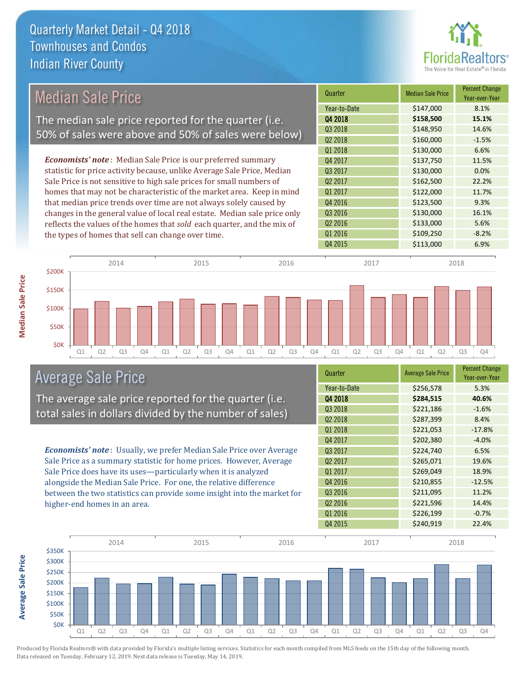

# Median Sale Price The median sale price reported for the quarter (i.e. 50% of sales were above and 50% of sales were below)

*Economists' note* : Median Sale Price is our preferred summary statistic for price activity because, unlike Average Sale Price, Median Sale Price is not sensitive to high sale prices for small numbers of homes that may not be characteristic of the market area. Keep in mind that median price trends over time are not always solely caused by changes in the general value of local real estate. Median sale price only reflects the values of the homes that *sold* each quarter, and the mix of the types of homes that sell can change over time.



![](_page_2_Figure_5.jpeg)

### Average Sale Price

The average sale price reported for the quarter (i.e. total sales in dollars divided by the number of sales)

*Economists' note* : Usually, we prefer Median Sale Price over Average Sale Price as a summary statistic for home prices. However, Average Sale Price does have its uses—particularly when it is analyzed alongside the Median Sale Price. For one, the relative difference between the two statistics can provide some insight into the market for higher-end homes in an area.

| Quarter             | <b>Average Sale Price</b> | <b>Percent Change</b><br>Year-over-Year |
|---------------------|---------------------------|-----------------------------------------|
| Year-to-Date        | \$256,578                 | 5.3%                                    |
| Q4 2018             | \$284,515                 | 40.6%                                   |
| Q3 2018             | \$221,186                 | $-1.6%$                                 |
| Q <sub>2</sub> 2018 | \$287,399                 | 8.4%                                    |
| Q1 2018             | \$221,053                 | $-17.8%$                                |
| Q4 2017             | \$202,380                 | $-4.0%$                                 |
| Q3 2017             | \$224,740                 | 6.5%                                    |
| Q <sub>2</sub> 2017 | \$265,071                 | 19.6%                                   |
| Q1 2017             | \$269,049                 | 18.9%                                   |
| Q4 2016             | \$210,855                 | $-12.5%$                                |
| Q3 2016             | \$211,095                 | 11.2%                                   |
| Q <sub>2</sub> 2016 | \$221,596                 | 14.4%                                   |
| Q1 2016             | \$226,199                 | $-0.7%$                                 |
| Q4 2015             | \$240,919                 | 22.4%                                   |

![](_page_2_Figure_10.jpeg)

Produced by Florida Realtors® with data provided by Florida's multiple listing services. Statistics for each month compiled from MLS feeds on the 15th day of the following month. Data released on Tuesday, February 12, 2019. Next data release is Tuesday, May 14, 2019.

**Average Sale Price**

**Average Sale Price**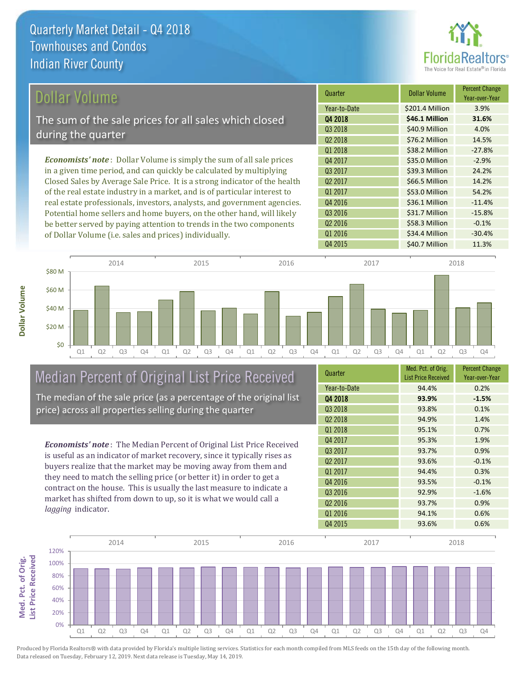![](_page_3_Picture_1.jpeg)

# Dollar Volume

The sum of the sale prices for all sales which closed during the quarter

*Economists' note* : Dollar Volume is simply the sum of all sale prices in a given time period, and can quickly be calculated by multiplying Closed Sales by Average Sale Price. It is a strong indicator of the health of the real estate industry in a market, and is of particular interest to real estate professionals, investors, analysts, and government agencies. Potential home sellers and home buyers, on the other hand, will likely be better served by paying attention to trends in the two components of Dollar Volume (i.e. sales and prices) individually.

| Quarter             | <b>Dollar Volume</b> | <b>Percent Change</b><br>Year-over-Year |
|---------------------|----------------------|-----------------------------------------|
| Year-to-Date        | \$201.4 Million      | 3.9%                                    |
| Q4 2018             | \$46.1 Million       | 31.6%                                   |
| Q3 2018             | \$40.9 Million       | 4.0%                                    |
| Q <sub>2</sub> 2018 | \$76.2 Million       | 14.5%                                   |
| Q1 2018             | \$38.2 Million       | $-27.8%$                                |
| Q4 2017             | \$35.0 Million       | $-2.9%$                                 |
| Q3 2017             | \$39.3 Million       | 24.2%                                   |
| 02 2017             | \$66.5 Million       | 14.2%                                   |
| 01 2017             | \$53.0 Million       | 54.2%                                   |
| Q4 2016             | \$36.1 Million       | $-11.4%$                                |
| Q3 2016             | \$31.7 Million       | $-15.8%$                                |
| Q <sub>2</sub> 2016 | \$58.3 Million       | $-0.1%$                                 |
| Q1 2016             | \$34.4 Million       | $-30.4%$                                |
| Q4 2015             | \$40.7 Million       | 11.3%                                   |

![](_page_3_Figure_6.jpeg)

## Median Percent of Original List Price Received The median of the sale price (as a percentage of the original list

price) across all properties selling during the quarter

*Economists' note* : The Median Percent of Original List Price Received is useful as an indicator of market recovery, since it typically rises as buyers realize that the market may be moving away from them and they need to match the selling price (or better it) in order to get a contract on the house. This is usually the last measure to indicate a market has shifted from down to up, so it is what we would call a *lagging* indicator.

| Quarter             | Med. Pct. of Orig.<br><b>List Price Received</b> | <b>Percent Change</b><br>Year-over-Year |
|---------------------|--------------------------------------------------|-----------------------------------------|
| Year-to-Date        | 94.4%                                            | 0.2%                                    |
| Q4 2018             | 93.9%                                            | $-1.5%$                                 |
| 03 2018             | 93.8%                                            | 0.1%                                    |
| Q <sub>2</sub> 2018 | 94.9%                                            | 1.4%                                    |
| Q1 2018             | 95.1%                                            | 0.7%                                    |
| Q4 2017             | 95.3%                                            | 1.9%                                    |
| Q3 2017             | 93.7%                                            | 0.9%                                    |
| Q <sub>2</sub> 2017 | 93.6%                                            | $-0.1%$                                 |
| Q1 2017             | 94.4%                                            | 0.3%                                    |
| Q4 2016             | 93.5%                                            | $-0.1%$                                 |
| Q3 2016             | 92.9%                                            | $-1.6%$                                 |
| Q <sub>2</sub> 2016 | 93.7%                                            | 0.9%                                    |
| Q1 2016             | 94.1%                                            | 0.6%                                    |
| Q4 2015             | 93.6%                                            | 0.6%                                    |

![](_page_3_Figure_11.jpeg)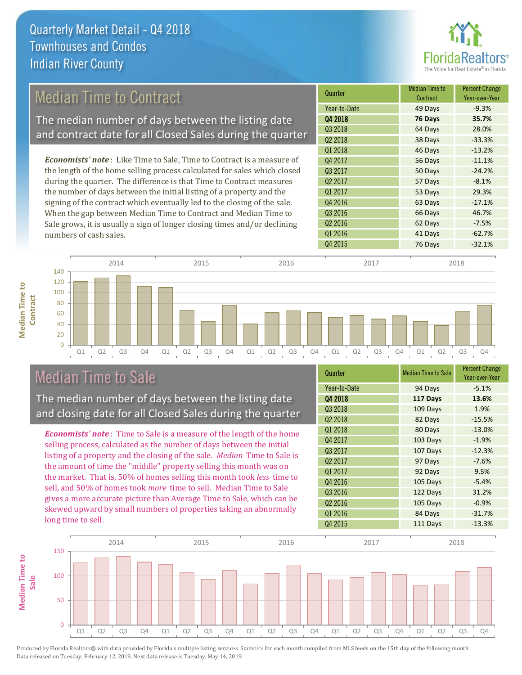![](_page_4_Picture_1.jpeg)

# Median Time to Contract

The median number of days between the listing date and contract date for all Closed Sales during the quarter

*Economists' note* : Like Time to Sale, Time to Contract is a measure of the length of the home selling process calculated for sales which closed during the quarter. The difference is that Time to Contract measures the number of days between the initial listing of a property and the signing of the contract which eventually led to the closing of the sale. When the gap between Median Time to Contract and Median Time to Sale grows, it is usually a sign of longer closing times and/or declining numbers of cash sales.

| Quarter             | <b>Median Time to</b><br>Contract | <b>Percent Change</b><br>Year-over-Year |
|---------------------|-----------------------------------|-----------------------------------------|
| Year-to-Date        | 49 Days                           | $-9.3%$                                 |
| Q4 2018             | 76 Days                           | 35.7%                                   |
| Q3 2018             | 64 Days                           | 28.0%                                   |
| Q <sub>2</sub> 2018 | 38 Days                           | $-33.3%$                                |
| Q1 2018             | 46 Days                           | $-13.2%$                                |
| Q4 2017             | 56 Days                           | $-11.1%$                                |
| Q3 2017             | 50 Days                           | $-24.2%$                                |
| Q <sub>2</sub> 2017 | 57 Days                           | $-8.1%$                                 |
| Q1 2017             | 53 Days                           | 29.3%                                   |
| Q4 2016             | 63 Days                           | $-17.1%$                                |
| Q3 2016             | 66 Days                           | 46.7%                                   |
| Q <sub>2</sub> 2016 | 62 Days                           | $-7.5%$                                 |
| Q1 2016             | 41 Days                           | $-62.7%$                                |
| Q4 2015             | 76 Days                           | $-32.1%$                                |

![](_page_4_Figure_6.jpeg)

## Median Time to Sale

**Median Time to Contract**

**Median Time to** 

The median number of days between the listing date and closing date for all Closed Sales during the quarter

*Economists' note* : Time to Sale is a measure of the length of the home selling process, calculated as the number of days between the initial listing of a property and the closing of the sale. *Median* Time to Sale is the amount of time the "middle" property selling this month was on the market. That is, 50% of homes selling this month took *less* time to sell, and 50% of homes took *more* time to sell. Median Time to Sale gives a more accurate picture than Average Time to Sale, which can be skewed upward by small numbers of properties taking an abnormally long time to sell.

| Quarter             | <b>Median Time to Sale</b> | <b>Percent Change</b><br>Year-over-Year |
|---------------------|----------------------------|-----------------------------------------|
| Year-to-Date        | 94 Days                    | $-5.1%$                                 |
| Q4 2018             | 117 Days                   | 13.6%                                   |
| Q3 2018             | 109 Days                   | 1.9%                                    |
| Q <sub>2</sub> 2018 | 82 Days                    | $-15.5%$                                |
| Q1 2018             | 80 Days                    | $-13.0%$                                |
| Q4 2017             | 103 Days                   | $-1.9%$                                 |
| Q3 2017             | 107 Days                   | $-12.3%$                                |
| Q <sub>2</sub> 2017 | 97 Days                    | $-7.6%$                                 |
| Q1 2017             | 92 Days                    | 9.5%                                    |
| Q4 2016             | 105 Days                   | $-5.4%$                                 |
| Q3 2016             | 122 Days                   | 31.2%                                   |
| Q <sub>2</sub> 2016 | 105 Days                   | $-0.9%$                                 |
| Q1 2016             | 84 Days                    | $-31.7%$                                |
| Q4 2015             | 111 Days                   | $-13.3%$                                |

![](_page_4_Figure_11.jpeg)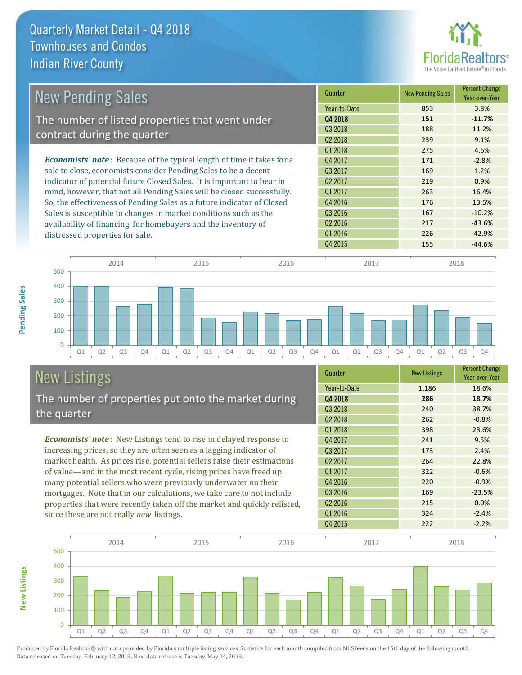![](_page_5_Picture_1.jpeg)

| <b>New Pending Sales</b>                                                      | Quarter             | <b>New Pending Sales</b> | <b>Percent Change</b><br>Year-over-Year |
|-------------------------------------------------------------------------------|---------------------|--------------------------|-----------------------------------------|
|                                                                               | Year-to-Date        | 853                      | 3.8%                                    |
| The number of listed properties that went under                               | Q4 2018             | 151                      | $-11.7%$                                |
| contract during the quarter                                                   | Q3 2018             | 188                      | 11.2%                                   |
|                                                                               | 02 2018             | 239                      | 9.1%                                    |
|                                                                               | Q1 2018             | 275                      | 4.6%                                    |
| <b>Economists' note:</b> Because of the typical length of time it takes for a | Q4 2017             | 171                      | $-2.8%$                                 |
| sale to close, economists consider Pending Sales to be a decent               | 03 2017             | 169                      | 1.2%                                    |
| indicator of potential future Closed Sales. It is important to bear in        | 02 2017             | 219                      | 0.9%                                    |
| mind, however, that not all Pending Sales will be closed successfully.        | Q1 2017             | 263                      | 16.4%                                   |
| So, the effectiveness of Pending Sales as a future indicator of Closed        | Q4 2016             | 176                      | 13.5%                                   |
| Sales is susceptible to changes in market conditions such as the              | Q3 2016             | 167                      | $-10.2%$                                |
| availability of financing for homebuyers and the inventory of                 | Q <sub>2</sub> 2016 | 217                      | $-43.6%$                                |
| distressed properties for sale.                                               | Q1 2016             | 226                      | $-42.9%$                                |
|                                                                               | Q4 2015             | 155                      | $-44.6%$                                |

![](_page_5_Figure_3.jpeg)

### New Listings The number of properties put onto the market during the quarter

*Economists' note* : New Listings tend to rise in delayed response to increasing prices, so they are often seen as a lagging indicator of market health. As prices rise, potential sellers raise their estimations of value—and in the most recent cycle, rising prices have freed up many potential sellers who were previously underwater on their mortgages. Note that in our calculations, we take care to not include properties that were recently taken off the market and quickly relisted, since these are not really *new* listings.

| Quarter             | <b>New Listings</b> | <b>Percent Change</b><br>Year-over-Year |
|---------------------|---------------------|-----------------------------------------|
| Year-to-Date        | 1,186               | 18.6%                                   |
| Q4 2018             | 286                 | 18.7%                                   |
| Q3 2018             | 240                 | 38.7%                                   |
| Q <sub>2</sub> 2018 | 262                 | $-0.8%$                                 |
| Q1 2018             | 398                 | 23.6%                                   |
| Q4 2017             | 241                 | 9.5%                                    |
| Q3 2017             | 173                 | 2.4%                                    |
| Q <sub>2</sub> 2017 | 264                 | 22.8%                                   |
| 01 2017             | 322                 | $-0.6%$                                 |
| Q4 2016             | 220                 | $-0.9%$                                 |
| Q3 2016             | 169                 | $-23.5%$                                |
| Q <sub>2</sub> 2016 | 215                 | 0.0%                                    |
| Q1 2016             | 324                 | $-2.4%$                                 |
| Q4 2015             | 222                 | $-2.2%$                                 |

![](_page_5_Figure_7.jpeg)

Produced by Florida Realtors® with data provided by Florida's multiple listing services. Statistics for each month compiled from MLS feeds on the 15th day of the following month. Data released on Tuesday, February 12, 2019. Next data release is Tuesday, May 14, 2019.

**New Listings**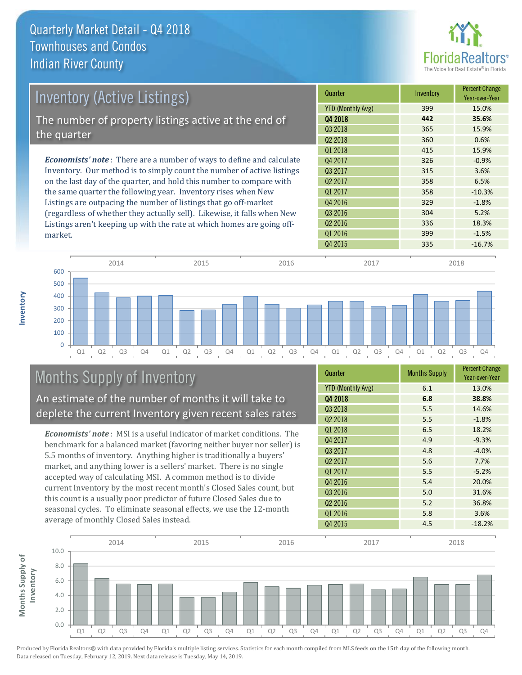market.

**Inventory**

![](_page_6_Picture_1.jpeg)

| <b>Inventory (Active Listings)</b>                                           | Quarter             | Inventory | <b>Percent Change</b><br>Year-over-Year |
|------------------------------------------------------------------------------|---------------------|-----------|-----------------------------------------|
|                                                                              | YTD (Monthly Avg)   | 399       | 15.0%                                   |
| The number of property listings active at the end of                         | Q4 2018             | 442       | 35.6%                                   |
| the quarter                                                                  | Q3 2018             | 365       | 15.9%                                   |
|                                                                              | Q <sub>2</sub> 2018 | 360       | 0.6%                                    |
|                                                                              | Q1 2018             | 415       | 15.9%                                   |
| <b>Economists' note</b> : There are a number of ways to define and calculate | Q4 2017             | 326       | $-0.9%$                                 |
| Inventory. Our method is to simply count the number of active listings       | Q3 2017             | 315       | 3.6%                                    |
| on the last day of the quarter, and hold this number to compare with         | 02 2017             | 358       | 6.5%                                    |
| the same quarter the following year. Inventory rises when New                | Q1 2017             | 358       | $-10.3%$                                |
| Listings are outpacing the number of listings that go off-market             | Q4 2016             | 329       | $-1.8%$                                 |
| (regardless of whether they actually sell). Likewise, it falls when New      | Q3 2016             | 304       | 5.2%                                    |
| Listings aren't keeping up with the rate at which homes are going off-       | Q <sub>2</sub> 2016 | 336       | 18.3%                                   |

![](_page_6_Figure_3.jpeg)

# Months Supply of Inventory

An estimate of the number of months it will take to deplete the current Inventory given recent sales rates

*Economists' note* : MSI is a useful indicator of market conditions. The benchmark for a balanced market (favoring neither buyer nor seller) is 5.5 months of inventory. Anything higher is traditionally a buyers' market, and anything lower is a sellers' market. There is no single accepted way of calculating MSI. A common method is to divide current Inventory by the most recent month's Closed Sales count, but this count is a usually poor predictor of future Closed Sales due to seasonal cycles. To eliminate seasonal effects, we use the 12-month average of monthly Closed Sales instead.

| Quarter                  | <b>Months Supply</b> | <b>Percent Change</b><br>Year-over-Year |
|--------------------------|----------------------|-----------------------------------------|
| <b>YTD (Monthly Avg)</b> | 6.1                  | 13.0%                                   |
| Q4 2018                  | 6.8                  | 38.8%                                   |
| Q3 2018                  | 5.5                  | 14.6%                                   |
| Q <sub>2</sub> 2018      | 5.5                  | $-1.8%$                                 |
| 01 2018                  | 6.5                  | 18.2%                                   |
| Q4 2017                  | 4.9                  | $-9.3%$                                 |
| Q3 2017                  | 4.8                  | $-4.0%$                                 |
| Q <sub>2</sub> 2017      | 5.6                  | 7.7%                                    |
| Q1 2017                  | 5.5                  | $-5.2%$                                 |
| Q4 2016                  | 5.4                  | 20.0%                                   |
| Q3 2016                  | 5.0                  | 31.6%                                   |
| Q <sub>2</sub> 2016      | 5.2                  | 36.8%                                   |
| Q1 2016                  | 5.8                  | 3.6%                                    |
| Q4 2015                  | 4.5                  | $-18.2%$                                |

Q4 2015 335 -16.7%

Q1 2016 399 399 -1.5%

![](_page_6_Figure_8.jpeg)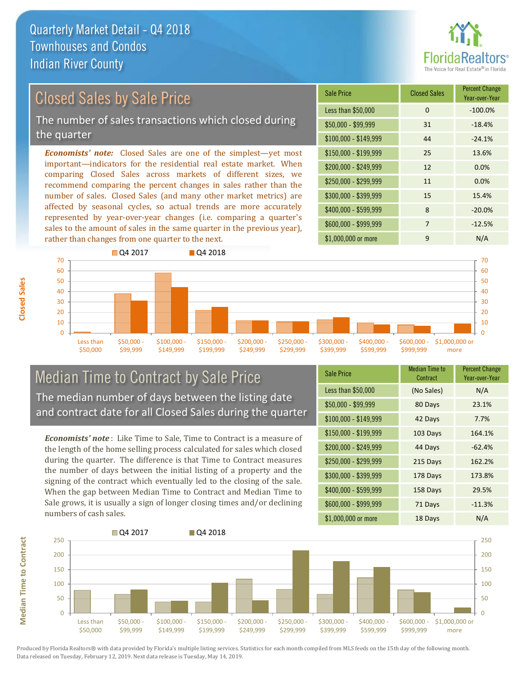![](_page_7_Picture_1.jpeg)

# Closed Sales by Sale Price

The number of sales transactions which closed during the quarter

*Economists' note:* Closed Sales are one of the simplest—yet most important—indicators for the residential real estate market. When comparing Closed Sales across markets of different sizes, we recommend comparing the percent changes in sales rather than the number of sales. Closed Sales (and many other market metrics) are affected by seasonal cycles, so actual trends are more accurately represented by year-over-year changes (i.e. comparing a quarter's sales to the amount of sales in the same quarter in the previous year), rather than changes from one quarter to the next.

| <b>Sale Price</b>     | <b>Closed Sales</b> | <b>Percent Change</b><br>Year-over-Year |
|-----------------------|---------------------|-----------------------------------------|
| Less than \$50,000    | 0                   | $-100.0%$                               |
| $$50,000 - $99,999$   | 31                  | $-18.4%$                                |
| $$100,000 - $149,999$ | 44                  | $-24.1%$                                |
| $$150,000 - $199,999$ | 25                  | 13.6%                                   |
| \$200,000 - \$249,999 | 12                  | 0.0%                                    |
| $$250,000 - $299,999$ | 11                  | 0.0%                                    |
| \$300,000 - \$399,999 | 15                  | 15.4%                                   |
| \$400,000 - \$599,999 | 8                   | $-20.0%$                                |
| \$600,000 - \$999,999 | 7                   | $-12.5%$                                |
| \$1,000,000 or more   | 9                   | N/A                                     |

![](_page_7_Figure_6.jpeg)

### Median Time to Contract by Sale Price The median number of days between the listing date and contract date for all Closed Sales during the quarter

*Economists' note* : Like Time to Sale, Time to Contract is a measure of the length of the home selling process calculated for sales which closed during the quarter. The difference is that Time to Contract measures the number of days between the initial listing of a property and the signing of the contract which eventually led to the closing of the sale. When the gap between Median Time to Contract and Median Time to Sale grows, it is usually a sign of longer closing times and/or declining numbers of cash sales.

| <b>Sale Price</b>     | <b>Median Time to</b><br>Contract | <b>Percent Change</b><br>Year-over-Year |
|-----------------------|-----------------------------------|-----------------------------------------|
| Less than \$50,000    | (No Sales)                        | N/A                                     |
| $$50,000 - $99,999$   | 80 Days                           | 23.1%                                   |
| $$100,000 - $149,999$ | 42 Days                           | 7.7%                                    |
| \$150,000 - \$199,999 | 103 Days                          | 164.1%                                  |
| \$200,000 - \$249,999 | 44 Days                           | $-62.4%$                                |
| \$250,000 - \$299,999 | 215 Days                          | 162.2%                                  |
| \$300,000 - \$399,999 | 178 Days                          | 173.8%                                  |
| \$400,000 - \$599,999 | 158 Days                          | 29.5%                                   |
| \$600,000 - \$999,999 | 71 Days                           | $-11.3%$                                |
| \$1,000,000 or more   | 18 Days                           | N/A                                     |

![](_page_7_Figure_10.jpeg)

Produced by Florida Realtors® with data provided by Florida's multiple listing services. Statistics for each month compiled from MLS feeds on the 15th day of the following month. Data released on Tuesday, February 12, 2019. Next data release is Tuesday, May 14, 2019.

**Median Time to Contract**

**Median Time to Contract**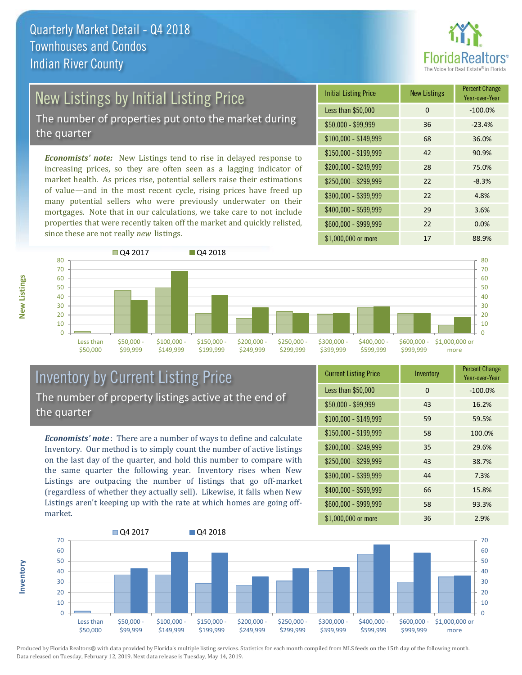![](_page_8_Picture_1.jpeg)

# New Listings by Initial Listing Price

The number of properties put onto the market during the quarter

*Economists' note:* New Listings tend to rise in delayed response to increasing prices, so they are often seen as a lagging indicator of market health. As prices rise, potential sellers raise their estimations of value—and in the most recent cycle, rising prices have freed up many potential sellers who were previously underwater on their mortgages. Note that in our calculations, we take care to not include properties that were recently taken off the market and quickly relisted, since these are not really *new* listings.

| <b>Initial Listing Price</b> | <b>New Listings</b> | <b>Percent Change</b><br>Year-over-Year |
|------------------------------|---------------------|-----------------------------------------|
| Less than \$50,000           | 0                   | $-100.0%$                               |
| $$50,000 - $99,999$          | 36                  | $-23.4%$                                |
| $$100,000 - $149,999$        | 68                  | 36.0%                                   |
| $$150,000 - $199,999$        | 42                  | 90.9%                                   |
| \$200,000 - \$249,999        | 28                  | 75.0%                                   |
| \$250,000 - \$299,999        | 22                  | $-8.3%$                                 |
| \$300,000 - \$399,999        | 22                  | 4.8%                                    |
| \$400,000 - \$599,999        | 29                  | 3.6%                                    |
| \$600,000 - \$999,999        | 22                  | 0.0%                                    |
| \$1,000,000 or more          | 17                  | 88.9%                                   |

![](_page_8_Figure_6.jpeg)

### Inventory by Current Listing Price The number of property listings active at the end of the quarter

*Economists' note* : There are a number of ways to define and calculate Inventory. Our method is to simply count the number of active listings on the last day of the quarter, and hold this number to compare with the same quarter the following year. Inventory rises when New Listings are outpacing the number of listings that go off-market (regardless of whether they actually sell). Likewise, it falls when New Listings aren't keeping up with the rate at which homes are going offmarket.

| <b>Current Listing Price</b> | Inventory | <b>Percent Change</b><br>Year-over-Year |
|------------------------------|-----------|-----------------------------------------|
| Less than \$50,000           | 0         | $-100.0%$                               |
| $$50,000 - $99,999$          | 43        | 16.2%                                   |
| $$100,000 - $149,999$        | 59        | 59.5%                                   |
| $$150,000 - $199,999$        | 58        | 100.0%                                  |
| \$200,000 - \$249,999        | 35        | 29.6%                                   |
| \$250,000 - \$299,999        | 43        | 38.7%                                   |
| \$300,000 - \$399,999        | 44        | 7.3%                                    |
| \$400,000 - \$599,999        | 66        | 15.8%                                   |
| \$600,000 - \$999,999        | 58        | 93.3%                                   |
| \$1,000,000 or more          | 36        | 2.9%                                    |

![](_page_8_Figure_10.jpeg)

Produced by Florida Realtors® with data provided by Florida's multiple listing services. Statistics for each month compiled from MLS feeds on the 15th day of the following month. Data released on Tuesday, February 12, 2019. Next data release is Tuesday, May 14, 2019.

**Inventory**